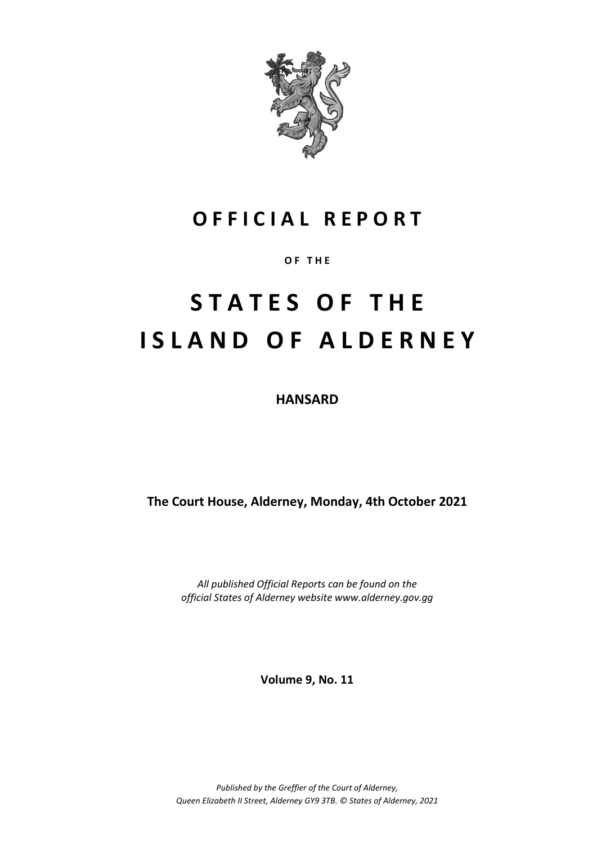

# **O F F I C I A L R E P O R T**

**O F T H E**

# **S T A T E S O F T H E I S L A N D O F A L D E R N E Y**

**HANSARD**

**The Court House, Alderney, Monday, 4th October 2021**

*All published Official Reports can be found on the official States of Alderney website www.alderney.gov.gg*

**Volume 9, No. 11**

*Published by the Greffier of the Court of Alderney, Queen Elizabeth II Street, Alderney GY9 3TB. © States of Alderney, 2021*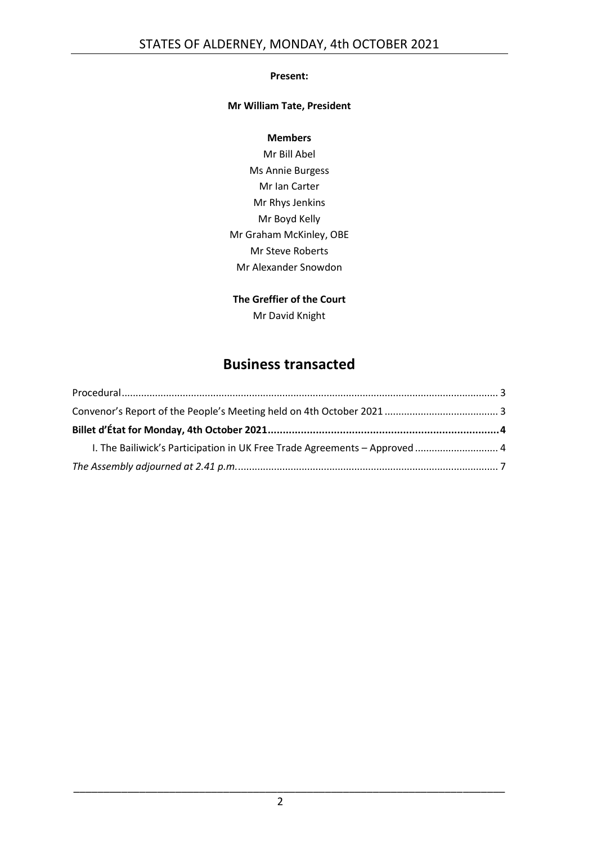#### **Present:**

#### **Mr William Tate, President**

#### **Members**

Mr Bill Abel Ms Annie Burgess Mr Ian Carter Mr Rhys Jenkins Mr Boyd Kelly Mr Graham McKinley, OBE Mr Steve Roberts Mr Alexander Snowdon

#### **The Greffier of the Court**

Mr David Knight

## **Business transacted**

| I. The Bailiwick's Participation in UK Free Trade Agreements - Approved  4 |  |
|----------------------------------------------------------------------------|--|
|                                                                            |  |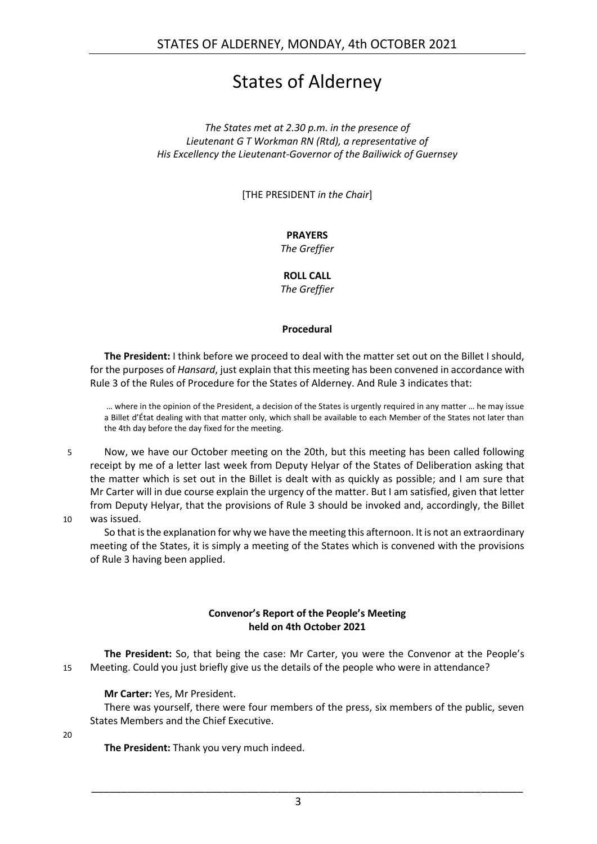# States of Alderney

*The States met at 2.30 p.m. in the presence of Lieutenant G T Workman RN (Rtd), a representative of His Excellency the Lieutenant-Governor of the Bailiwick of Guernsey*

[THE PRESIDENT *in the Chair*]

#### **PRAYERS**

*The Greffier*

**ROLL CALL** *The Greffier*

#### **Procedural**

<span id="page-2-0"></span>**The President:** I think before we proceed to deal with the matter set out on the Billet I should, for the purposes of *Hansard*, just explain that this meeting has been convened in accordance with Rule 3 of the Rules of Procedure for the States of Alderney. And Rule 3 indicates that:

… where in the opinion of the President, a decision of the States is urgently required in any matter … he may issue a Billet d'État dealing with that matter only, which shall be available to each Member of the States not later than the 4th day before the day fixed for the meeting.

5 Now, we have our October meeting on the 20th, but this meeting has been called following receipt by me of a letter last week from Deputy Helyar of the States of Deliberation asking that the matter which is set out in the Billet is dealt with as quickly as possible; and I am sure that Mr Carter will in due course explain the urgency of the matter. But I am satisfied, given that letter from Deputy Helyar, that the provisions of Rule 3 should be invoked and, accordingly, the Billet 10 was issued.

So that is the explanation for why we have the meeting this afternoon. It is not an extraordinary meeting of the States, it is simply a meeting of the States which is convened with the provisions of Rule 3 having been applied.

#### **Convenor's Report of the People's Meeting held on 4th October 2021**

<span id="page-2-1"></span>**The President:** So, that being the case: Mr Carter, you were the Convenor at the People's 15 Meeting. Could you just briefly give us the details of the people who were in attendance?

**Mr Carter:** Yes, Mr President.

There was yourself, there were four members of the press, six members of the public, seven States Members and the Chief Executive.

20

**The President:** Thank you very much indeed.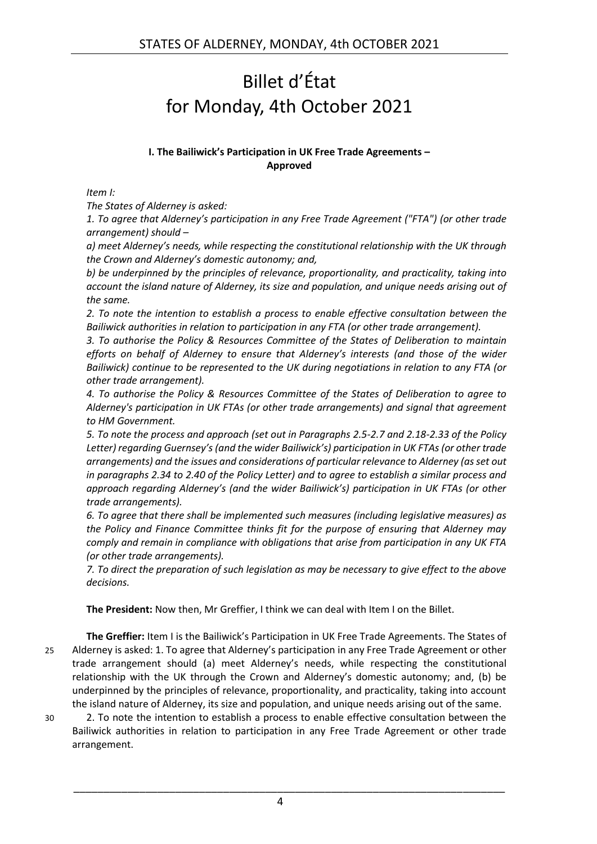# <span id="page-3-0"></span>Billet d'État for Monday, 4th October 2021

#### **I. The Bailiwick's Participation in UK Free Trade Agreements – Approved**

<span id="page-3-1"></span>*Item I:*

*The States of Alderney is asked:* 

*1. To agree that Alderney's participation in any Free Trade Agreement ("FTA") (or other trade arrangement) should –*

*a) meet Alderney's needs, while respecting the constitutional relationship with the UK through the Crown and Alderney's domestic autonomy; and,*

*b) be underpinned by the principles of relevance, proportionality, and practicality, taking into account the island nature of Alderney, its size and population, and unique needs arising out of the same.*

*2. To note the intention to establish a process to enable effective consultation between the Bailiwick authorities in relation to participation in any FTA (or other trade arrangement).*

*3. To authorise the Policy & Resources Committee of the States of Deliberation to maintain efforts on behalf of Alderney to ensure that Alderney's interests (and those of the wider Bailiwick) continue to be represented to the UK during negotiations in relation to any FTA (or other trade arrangement).*

*4. To authorise the Policy & Resources Committee of the States of Deliberation to agree to Alderney's participation in UK FTAs (or other trade arrangements) and signal that agreement to HM Government.*

*5. To note the process and approach (set out in Paragraphs 2.5-2.7 and 2.18-2.33 of the Policy Letter) regarding Guernsey's (and the wider Bailiwick's) participation in UK FTAs (or other trade arrangements) and the issues and considerations of particular relevance to Alderney (as set out in paragraphs 2.34 to 2.40 of the Policy Letter) and to agree to establish a similar process and approach regarding Alderney's (and the wider Bailiwick's) participation in UK FTAs (or other trade arrangements).*

*6. To agree that there shall be implemented such measures (including legislative measures) as the Policy and Finance Committee thinks fit for the purpose of ensuring that Alderney may comply and remain in compliance with obligations that arise from participation in any UK FTA (or other trade arrangements).*

*7. To direct the preparation of such legislation as may be necessary to give effect to the above decisions.*

**The President:** Now then, Mr Greffier, I think we can deal with Item I on the Billet.

**The Greffier:** Item I is the Bailiwick's Participation in UK Free Trade Agreements. The States of 25 Alderney is asked: 1. To agree that Alderney's participation in any Free Trade Agreement or other trade arrangement should (a) meet Alderney's needs, while respecting the constitutional relationship with the UK through the Crown and Alderney's domestic autonomy; and, (b) be underpinned by the principles of relevance, proportionality, and practicality, taking into account the island nature of Alderney, its size and population, and unique needs arising out of the same.

30 2. To note the intention to establish a process to enable effective consultation between the Bailiwick authorities in relation to participation in any Free Trade Agreement or other trade arrangement.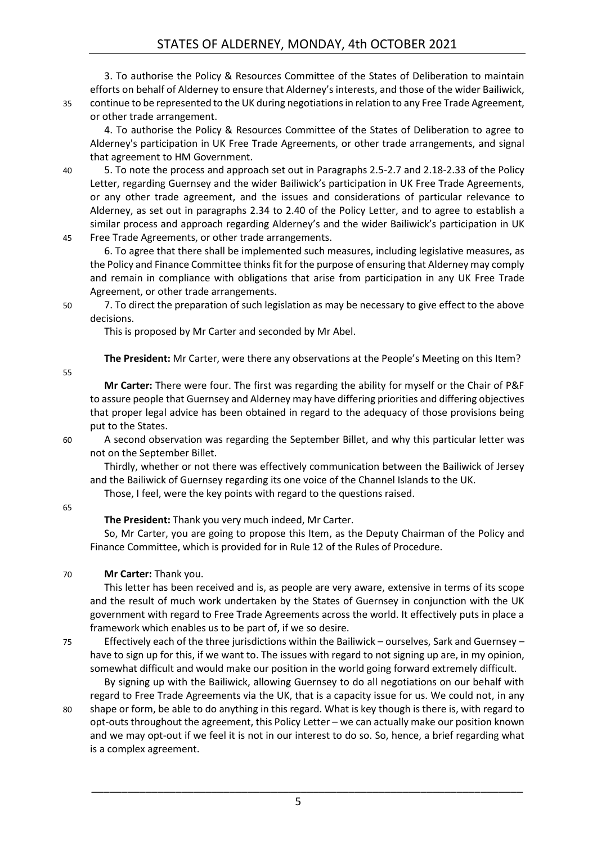3. To authorise the Policy & Resources Committee of the States of Deliberation to maintain efforts on behalf of Alderney to ensure that Alderney's interests, and those of the wider Bailiwick, 35 continue to be represented to the UK during negotiations in relation to any Free Trade Agreement, or other trade arrangement.

4. To authorise the Policy & Resources Committee of the States of Deliberation to agree to Alderney's participation in UK Free Trade Agreements, or other trade arrangements, and signal that agreement to HM Government.

40 5. To note the process and approach set out in Paragraphs 2.5-2.7 and 2.18-2.33 of the Policy Letter, regarding Guernsey and the wider Bailiwick's participation in UK Free Trade Agreements, or any other trade agreement, and the issues and considerations of particular relevance to Alderney, as set out in paragraphs 2.34 to 2.40 of the Policy Letter, and to agree to establish a similar process and approach regarding Alderney's and the wider Bailiwick's participation in UK 45 Free Trade Agreements, or other trade arrangements.

6. To agree that there shall be implemented such measures, including legislative measures, as the Policy and Finance Committee thinks fit for the purpose of ensuring that Alderney may comply and remain in compliance with obligations that arise from participation in any UK Free Trade Agreement, or other trade arrangements.

50 7. To direct the preparation of such legislation as may be necessary to give effect to the above decisions.

This is proposed by Mr Carter and seconded by Mr Abel.

**The President:** Mr Carter, were there any observations at the People's Meeting on this Item?

55

**Mr Carter:** There were four. The first was regarding the ability for myself or the Chair of P&F to assure people that Guernsey and Alderney may have differing priorities and differing objectives that proper legal advice has been obtained in regard to the adequacy of those provisions being put to the States.

60 A second observation was regarding the September Billet, and why this particular letter was not on the September Billet.

Thirdly, whether or not there was effectively communication between the Bailiwick of Jersey and the Bailiwick of Guernsey regarding its one voice of the Channel Islands to the UK.

Those, I feel, were the key points with regard to the questions raised.

65

#### **The President:** Thank you very much indeed, Mr Carter.

So, Mr Carter, you are going to propose this Item, as the Deputy Chairman of the Policy and Finance Committee, which is provided for in Rule 12 of the Rules of Procedure.

#### 70 **Mr Carter:** Thank you.

This letter has been received and is, as people are very aware, extensive in terms of its scope and the result of much work undertaken by the States of Guernsey in conjunction with the UK government with regard to Free Trade Agreements across the world. It effectively puts in place a framework which enables us to be part of, if we so desire.

75 Effectively each of the three jurisdictions within the Bailiwick – ourselves, Sark and Guernsey – have to sign up for this, if we want to. The issues with regard to not signing up are, in my opinion, somewhat difficult and would make our position in the world going forward extremely difficult.

By signing up with the Bailiwick, allowing Guernsey to do all negotiations on our behalf with regard to Free Trade Agreements via the UK, that is a capacity issue for us. We could not, in any 80 shape or form, be able to do anything in this regard. What is key though is there is, with regard to opt-outs throughout the agreement, this Policy Letter – we can actually make our position known and we may opt-out if we feel it is not in our interest to do so. So, hence, a brief regarding what

is a complex agreement.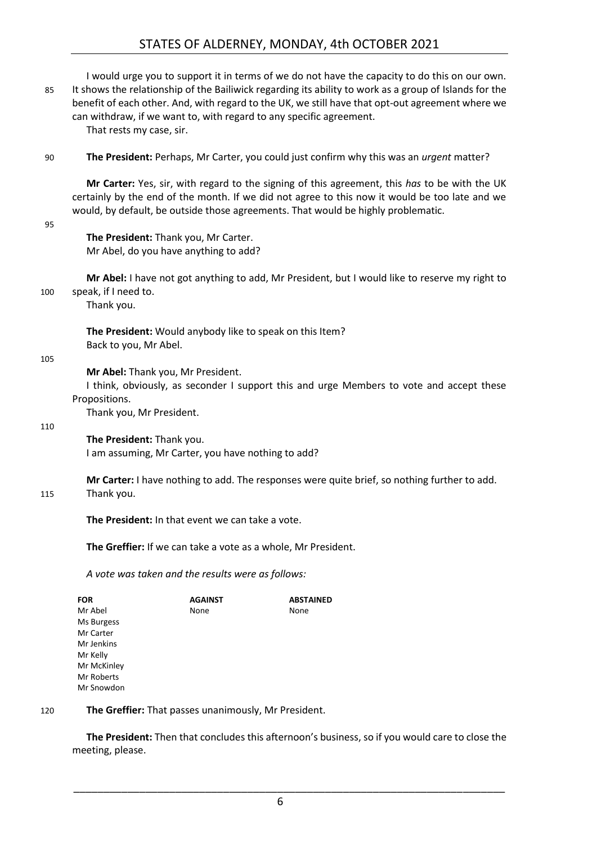### STATES OF ALDERNEY, MONDAY, 4th OCTOBER 2021

| 85                                                                                                                                          | I would urge you to support it in terms of we do not have the capacity to do this on our own.<br>It shows the relationship of the Bailiwick regarding its ability to work as a group of Islands for the<br>benefit of each other. And, with regard to the UK, we still have that opt-out agreement where we<br>can withdraw, if we want to, with regard to any specific agreement.<br>That rests my case, sir. |                                                                               |                                                                                                 |  |
|---------------------------------------------------------------------------------------------------------------------------------------------|----------------------------------------------------------------------------------------------------------------------------------------------------------------------------------------------------------------------------------------------------------------------------------------------------------------------------------------------------------------------------------------------------------------|-------------------------------------------------------------------------------|-------------------------------------------------------------------------------------------------|--|
| 90                                                                                                                                          |                                                                                                                                                                                                                                                                                                                                                                                                                |                                                                               | The President: Perhaps, Mr Carter, you could just confirm why this was an <i>urgent</i> matter? |  |
| 95                                                                                                                                          | Mr Carter: Yes, sir, with regard to the signing of this agreement, this has to be with the UK<br>certainly by the end of the month. If we did not agree to this now it would be too late and we<br>would, by default, be outside those agreements. That would be highly problematic.                                                                                                                           |                                                                               |                                                                                                 |  |
|                                                                                                                                             |                                                                                                                                                                                                                                                                                                                                                                                                                | The President: Thank you, Mr Carter.<br>Mr Abel, do you have anything to add? |                                                                                                 |  |
| Mr Abel: I have not got anything to add, Mr President, but I would like to reserve my right to<br>speak, if I need to.<br>100<br>Thank you. |                                                                                                                                                                                                                                                                                                                                                                                                                |                                                                               |                                                                                                 |  |
| 105                                                                                                                                         | Back to you, Mr Abel.                                                                                                                                                                                                                                                                                                                                                                                          | The President: Would anybody like to speak on this Item?                      |                                                                                                 |  |
|                                                                                                                                             | Mr Abel: Thank you, Mr President.<br>I think, obviously, as seconder I support this and urge Members to vote and accept these<br>Propositions.<br>Thank you, Mr President.                                                                                                                                                                                                                                     |                                                                               |                                                                                                 |  |
| 110                                                                                                                                         | The President: Thank you.                                                                                                                                                                                                                                                                                                                                                                                      | I am assuming, Mr Carter, you have nothing to add?                            |                                                                                                 |  |
| 115                                                                                                                                         | Thank you.                                                                                                                                                                                                                                                                                                                                                                                                     |                                                                               | Mr Carter: I have nothing to add. The responses were quite brief, so nothing further to add.    |  |
|                                                                                                                                             |                                                                                                                                                                                                                                                                                                                                                                                                                | The President: In that event we can take a vote.                              |                                                                                                 |  |
|                                                                                                                                             |                                                                                                                                                                                                                                                                                                                                                                                                                | The Greffier: If we can take a vote as a whole, Mr President.                 |                                                                                                 |  |
|                                                                                                                                             |                                                                                                                                                                                                                                                                                                                                                                                                                | A vote was taken and the results were as follows:                             |                                                                                                 |  |
|                                                                                                                                             | <b>FOR</b><br>Mr Abel<br>Ms Burgess<br>Mr Carter<br>Mr Jenkins                                                                                                                                                                                                                                                                                                                                                 | AGAINST<br>None                                                               | ABSTAINED<br>None                                                                               |  |

Mr Kelly Mr McKinley Mr Roberts

Mr Snowdon

#### 120 **The Greffier:** That passes unanimously, Mr President.

**The President:** Then that concludes this afternoon's business, so if you would care to close the meeting, please.